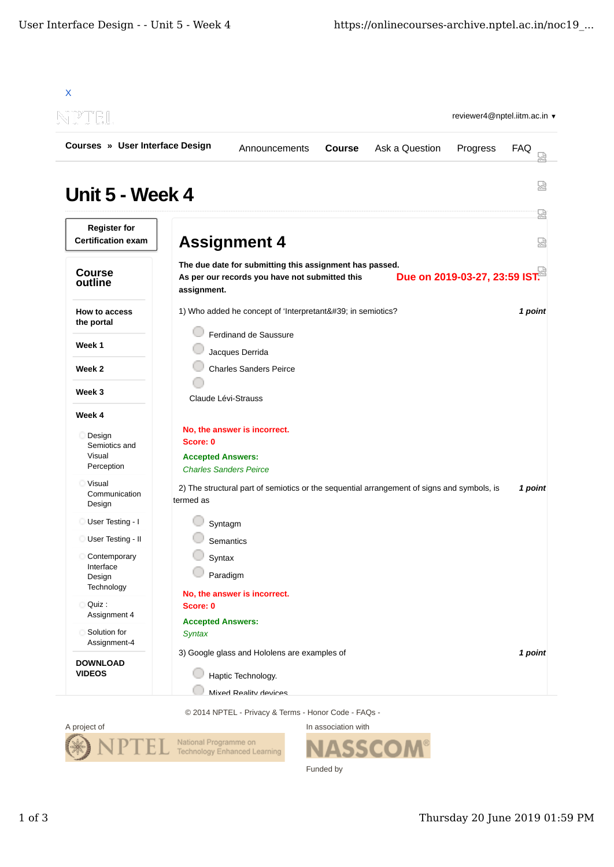| Courses » User Interface Design                  |                                                                                                                          | Announcements | <b>Course</b> | Ask a Question | Progress                      | FAQ     |
|--------------------------------------------------|--------------------------------------------------------------------------------------------------------------------------|---------------|---------------|----------------|-------------------------------|---------|
| Unit 5 - Week 4                                  |                                                                                                                          |               |               |                |                               | 썮       |
| <b>Register for</b><br><b>Certification exam</b> | <b>Assignment 4</b>                                                                                                      |               |               |                |                               | 얺<br>눲  |
| <b>Course</b><br>outline                         | The due date for submitting this assignment has passed.<br>As per our records you have not submitted this<br>assignment. |               |               |                | Due on 2019-03-27, 23:59 IST. |         |
| How to access<br>the portal                      | 1) Who added he concept of 'Interpretant' in semiotics?<br>Ferdinand de Saussure                                         |               |               |                |                               | 1 point |
| Week 1                                           | Jacques Derrida                                                                                                          |               |               |                |                               |         |
| Week 2                                           | <b>Charles Sanders Peirce</b>                                                                                            |               |               |                |                               |         |
| Week 3                                           | Claude Lévi-Strauss                                                                                                      |               |               |                |                               |         |
| Week 4                                           |                                                                                                                          |               |               |                |                               |         |
| Design<br>Semiotics and<br>Visual<br>Perception  | No, the answer is incorrect.<br>Score: 0<br><b>Accepted Answers:</b><br><b>Charles Sanders Peirce</b>                    |               |               |                |                               |         |
| <b>Visual</b><br>Communication<br>Design         | 2) The structural part of semiotics or the sequential arrangement of signs and symbols, is<br>termed as                  |               |               |                |                               | 1 point |
| User Testing - I                                 | Syntagm                                                                                                                  |               |               |                |                               |         |
| User Testing - II<br>О                           | Semantics                                                                                                                |               |               |                |                               |         |
| Contemporary<br>Interface<br>Design              | Syntax<br>Paradigm                                                                                                       |               |               |                |                               |         |
| Technology<br>Quiz:<br>Assignment 4              | No, the answer is incorrect.<br>Score: 0                                                                                 |               |               |                |                               |         |
| Solution for<br>Assignment-4                     | <b>Accepted Answers:</b><br><b>Syntax</b>                                                                                |               |               |                |                               |         |
| <b>DOWNLOAD</b><br><b>VIDEOS</b>                 | 3) Google glass and Hololens are examples of<br>Haptic Technology.                                                       |               |               |                |                               | 1 point |

© 2014 NPTEL - Privacy & Terms - Honor Code - FAQs -



In association with **ASSCOM®** Funded by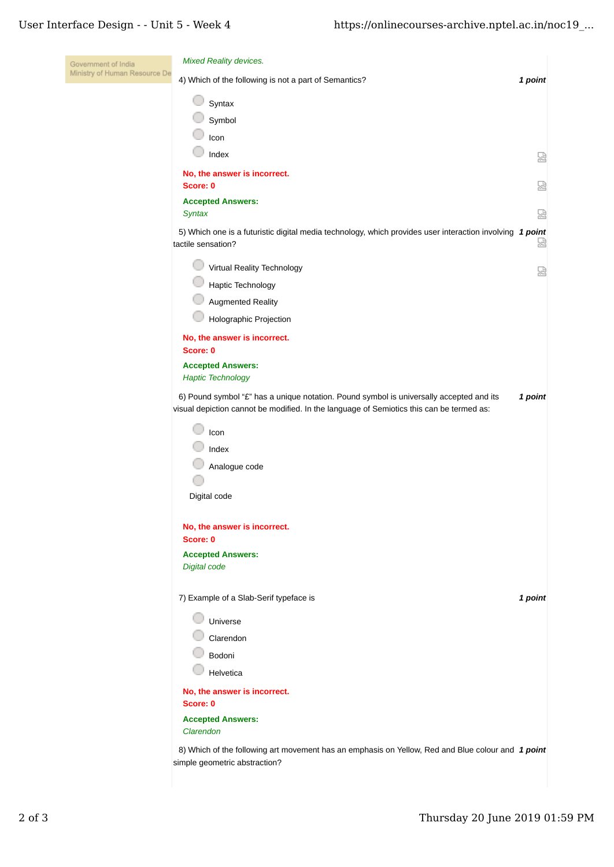l,

| Government of India           | Mixed Reality devices.                                                                                                                                                              |         |  |
|-------------------------------|-------------------------------------------------------------------------------------------------------------------------------------------------------------------------------------|---------|--|
| Ministry of Human Resource De | 4) Which of the following is not a part of Semantics?                                                                                                                               | 1 point |  |
|                               | Syntax                                                                                                                                                                              |         |  |
|                               | Symbol                                                                                                                                                                              |         |  |
|                               | Icon                                                                                                                                                                                |         |  |
|                               | Index                                                                                                                                                                               | 恳       |  |
|                               | No, the answer is incorrect.<br>Score: 0                                                                                                                                            | 요       |  |
|                               | <b>Accepted Answers:</b><br><b>Syntax</b>                                                                                                                                           | Ы       |  |
|                               | 5) Which one is a futuristic digital media technology, which provides user interaction involving 1 point<br>tactile sensation?                                                      | Ы       |  |
|                               | Virtual Reality Technology                                                                                                                                                          | 덣       |  |
|                               | Haptic Technology                                                                                                                                                                   |         |  |
|                               | Augmented Reality                                                                                                                                                                   |         |  |
|                               | Holographic Projection                                                                                                                                                              |         |  |
|                               | No, the answer is incorrect.<br>Score: 0                                                                                                                                            |         |  |
|                               | <b>Accepted Answers:</b><br><b>Haptic Technology</b>                                                                                                                                |         |  |
|                               | 6) Pound symbol "£" has a unique notation. Pound symbol is universally accepted and its<br>visual depiction cannot be modified. In the language of Semiotics this can be termed as: | 1 point |  |
|                               | Icon                                                                                                                                                                                |         |  |
|                               | Index                                                                                                                                                                               |         |  |
|                               | Analogue code                                                                                                                                                                       |         |  |
|                               |                                                                                                                                                                                     |         |  |
|                               | Digital code                                                                                                                                                                        |         |  |
|                               | No, the answer is incorrect.<br>Score: 0                                                                                                                                            |         |  |
|                               | <b>Accepted Answers:</b>                                                                                                                                                            |         |  |
|                               | <b>Digital code</b>                                                                                                                                                                 |         |  |
|                               | 7) Example of a Slab-Serif typeface is                                                                                                                                              | 1 point |  |
|                               | Universe                                                                                                                                                                            |         |  |
|                               | Clarendon                                                                                                                                                                           |         |  |
|                               | Bodoni                                                                                                                                                                              |         |  |
|                               | Helvetica                                                                                                                                                                           |         |  |
|                               | No, the answer is incorrect.<br>Score: 0                                                                                                                                            |         |  |
|                               | <b>Accepted Answers:</b>                                                                                                                                                            |         |  |
|                               | Clarendon                                                                                                                                                                           |         |  |
|                               | 8) Which of the following art movement has an emphasis on Yellow, Red and Blue colour and 1 point<br>simple geometric abstraction?                                                  |         |  |